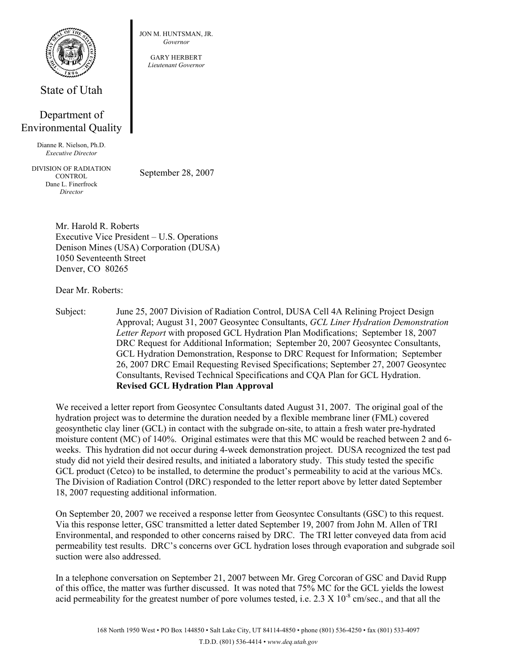

State of Utah

## Department of Environmental Quality

Dianne R. Nielson, Ph.D. *Executive Director* 

DIVISION OF RADIATION **CONTROL** Dane L. Finerfrock *Director* 

September 28, 2007

JON M. HUNTSMAN, JR. *Governor*  GARY HERBERT *Lieutenant Governor*

Mr. Harold R. Roberts Executive Vice President – U.S. Operations Denison Mines (USA) Corporation (DUSA) 1050 Seventeenth Street Denver, CO 80265

Dear Mr. Roberts:

Subject: June 25, 2007 Division of Radiation Control, DUSA Cell 4A Relining Project Design Approval; August 31, 2007 Geosyntec Consultants, *GCL Liner Hydration Demonstration Letter Report* with proposed GCL Hydration Plan Modifications; September 18, 2007 DRC Request for Additional Information; September 20, 2007 Geosyntec Consultants, GCL Hydration Demonstration, Response to DRC Request for Information; September 26, 2007 DRC Email Requesting Revised Specifications; September 27, 2007 Geosyntec Consultants, Revised Technical Specifications and CQA Plan for GCL Hydration. **Revised GCL Hydration Plan Approval** 

We received a letter report from Geosyntec Consultants dated August 31, 2007. The original goal of the hydration project was to determine the duration needed by a flexible membrane liner (FML) covered geosynthetic clay liner (GCL) in contact with the subgrade on-site, to attain a fresh water pre-hydrated moisture content (MC) of 140%. Original estimates were that this MC would be reached between 2 and 6 weeks. This hydration did not occur during 4-week demonstration project. DUSA recognized the test pad study did not yield their desired results, and initiated a laboratory study. This study tested the specific GCL product (Cetco) to be installed, to determine the product's permeability to acid at the various MCs. The Division of Radiation Control (DRC) responded to the letter report above by letter dated September 18, 2007 requesting additional information.

On September 20, 2007 we received a response letter from Geosyntec Consultants (GSC) to this request. Via this response letter, GSC transmitted a letter dated September 19, 2007 from John M. Allen of TRI Environmental, and responded to other concerns raised by DRC. The TRI letter conveyed data from acid permeability test results. DRC's concerns over GCL hydration loses through evaporation and subgrade soil suction were also addressed.

In a telephone conversation on September 21, 2007 between Mr. Greg Corcoran of GSC and David Rupp of this office, the matter was further discussed. It was noted that 75% MC for the GCL yields the lowest acid permeability for the greatest number of pore volumes tested, i.e.  $2.3 \times 10^{-8}$  cm/sec., and that all the